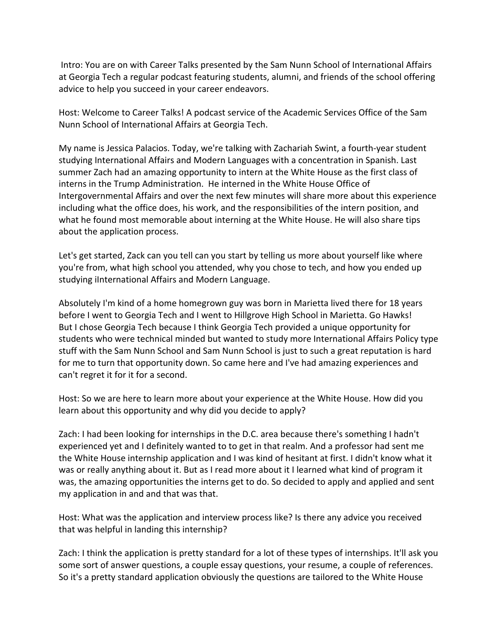Intro: You are on with Career Talks presented by the Sam Nunn School of International Affairs at Georgia Tech a regular podcast featuring students, alumni, and friends of the school offering advice to help you succeed in your career endeavors.

Host: Welcome to Career Talks! A podcast service of the Academic Services Office of the Sam Nunn School of International Affairs at Georgia Tech.

My name is Jessica Palacios. Today, we're talking with Zachariah Swint, a fourth-year student studying International Affairs and Modern Languages with a concentration in Spanish. Last summer Zach had an amazing opportunity to intern at the White House as the first class of interns in the Trump Administration. He interned in the White House Office of Intergovernmental Affairs and over the next few minutes will share more about this experience including what the office does, his work, and the responsibilities of the intern position, and what he found most memorable about interning at the White House. He will also share tips about the application process.

Let's get started, Zack can you tell can you start by telling us more about yourself like where you're from, what high school you attended, why you chose to tech, and how you ended up studying iInternational Affairs and Modern Language.

Absolutely I'm kind of a home homegrown guy was born in Marietta lived there for 18 years before I went to Georgia Tech and I went to Hillgrove High School in Marietta. Go Hawks! But I chose Georgia Tech because I think Georgia Tech provided a unique opportunity for students who were technical minded but wanted to study more International Affairs Policy type stuff with the Sam Nunn School and Sam Nunn School is just to such a great reputation is hard for me to turn that opportunity down. So came here and I've had amazing experiences and can't regret it for it for a second.

Host: So we are here to learn more about your experience at the White House. How did you learn about this opportunity and why did you decide to apply?

Zach: I had been looking for internships in the D.C. area because there's something I hadn't experienced yet and I definitely wanted to to get in that realm. And a professor had sent me the White House internship application and I was kind of hesitant at first. I didn't know what it was or really anything about it. But as I read more about it I learned what kind of program it was, the amazing opportunities the interns get to do. So decided to apply and applied and sent my application in and and that was that.

Host: What was the application and interview process like? Is there any advice you received that was helpful in landing this internship?

Zach: I think the application is pretty standard for a lot of these types of internships. It'll ask you some sort of answer questions, a couple essay questions, your resume, a couple of references. So it's a pretty standard application obviously the questions are tailored to the White House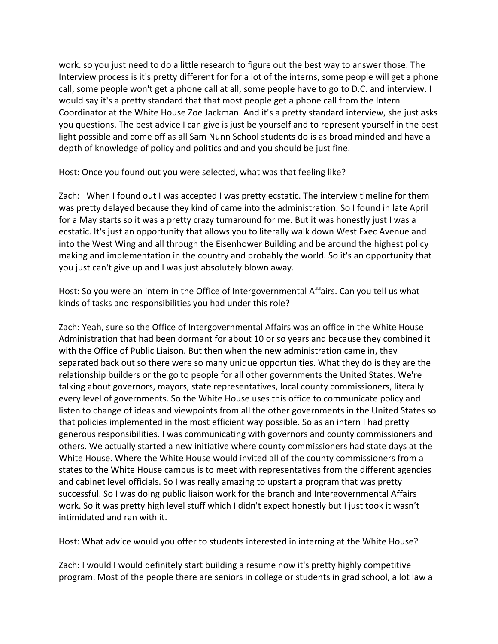work. so you just need to do a little research to figure out the best way to answer those. The Interview process is it's pretty different for for a lot of the interns, some people will get a phone call, some people won't get a phone call at all, some people have to go to D.C. and interview. I would say it's a pretty standard that that most people get a phone call from the Intern Coordinator at the White House Zoe Jackman. And it's a pretty standard interview, she just asks you questions. The best advice I can give is just be yourself and to represent yourself in the best light possible and come off as all Sam Nunn School students do is as broad minded and have a depth of knowledge of policy and politics and and you should be just fine.

Host: Once you found out you were selected, what was that feeling like?

Zach: When I found out I was accepted I was pretty ecstatic. The interview timeline for them was pretty delayed because they kind of came into the administration. So I found in late April for a May starts so it was a pretty crazy turnaround for me. But it was honestly just I was a ecstatic. It's just an opportunity that allows you to literally walk down West Exec Avenue and into the West Wing and all through the Eisenhower Building and be around the highest policy making and implementation in the country and probably the world. So it's an opportunity that you just can't give up and I was just absolutely blown away.

Host: So you were an intern in the Office of Intergovernmental Affairs. Can you tell us what kinds of tasks and responsibilities you had under this role?

Zach: Yeah, sure so the Office of Intergovernmental Affairs was an office in the White House Administration that had been dormant for about 10 or so years and because they combined it with the Office of Public Liaison. But then when the new administration came in, they separated back out so there were so many unique opportunities. What they do is they are the relationship builders or the go to people for all other governments the United States. We're talking about governors, mayors, state representatives, local county commissioners, literally every level of governments. So the White House uses this office to communicate policy and listen to change of ideas and viewpoints from all the other governments in the United States so that policies implemented in the most efficient way possible. So as an intern I had pretty generous responsibilities. I was communicating with governors and county commissioners and others. We actually started a new initiative where county commissioners had state days at the White House. Where the White House would invited all of the county commissioners from a states to the White House campus is to meet with representatives from the different agencies and cabinet level officials. So I was really amazing to upstart a program that was pretty successful. So I was doing public liaison work for the branch and Intergovernmental Affairs work. So it was pretty high level stuff which I didn't expect honestly but I just took it wasn't intimidated and ran with it.

Host: What advice would you offer to students interested in interning at the White House?

Zach: I would I would definitely start building a resume now it's pretty highly competitive program. Most of the people there are seniors in college or students in grad school, a lot law a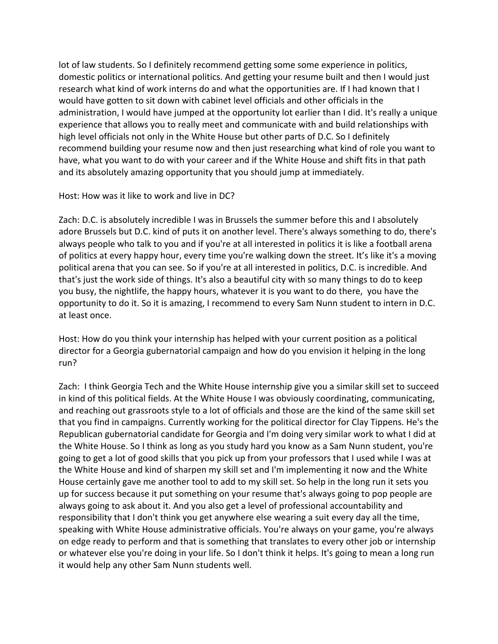lot of law students. So I definitely recommend getting some some experience in politics, domestic politics or international politics. And getting your resume built and then I would just research what kind of work interns do and what the opportunities are. If I had known that I would have gotten to sit down with cabinet level officials and other officials in the administration, I would have jumped at the opportunity lot earlier than I did. It's really a unique experience that allows you to really meet and communicate with and build relationships with high level officials not only in the White House but other parts of D.C. So I definitely recommend building your resume now and then just researching what kind of role you want to have, what you want to do with your career and if the White House and shift fits in that path and its absolutely amazing opportunity that you should jump at immediately.

## Host: How was it like to work and live in DC?

Zach: D.C. is absolutely incredible I was in Brussels the summer before this and I absolutely adore Brussels but D.C. kind of puts it on another level. There's always something to do, there's always people who talk to you and if you're at all interested in politics it is like a football arena of politics at every happy hour, every time you're walking down the street. It's like it's a moving political arena that you can see. So if you're at all interested in politics, D.C. is incredible. And that's just the work side of things. It's also a beautiful city with so many things to do to keep you busy, the nightlife, the happy hours, whatever it is you want to do there, you have the opportunity to do it. So it is amazing, I recommend to every Sam Nunn student to intern in D.C. at least once.

Host: How do you think your internship has helped with your current position as a political director for a Georgia gubernatorial campaign and how do you envision it helping in the long run?

Zach: I think Georgia Tech and the White House internship give you a similar skill set to succeed in kind of this political fields. At the White House I was obviously coordinating, communicating, and reaching out grassroots style to a lot of officials and those are the kind of the same skill set that you find in campaigns. Currently working for the political director for Clay Tippens. He's the Republican gubernatorial candidate for Georgia and I'm doing very similar work to what I did at the White House. So I think as long as you study hard you know as a Sam Nunn student, you're going to get a lot of good skills that you pick up from your professors that I used while I was at the White House and kind of sharpen my skill set and I'm implementing it now and the White House certainly gave me another tool to add to my skill set. So help in the long run it sets you up for success because it put something on your resume that's always going to pop people are always going to ask about it. And you also get a level of professional accountability and responsibility that I don't think you get anywhere else wearing a suit every day all the time, speaking with White House administrative officials. You're always on your game, you're always on edge ready to perform and that is something that translates to every other job or internship or whatever else you're doing in your life. So I don't think it helps. It's going to mean a long run it would help any other Sam Nunn students well.